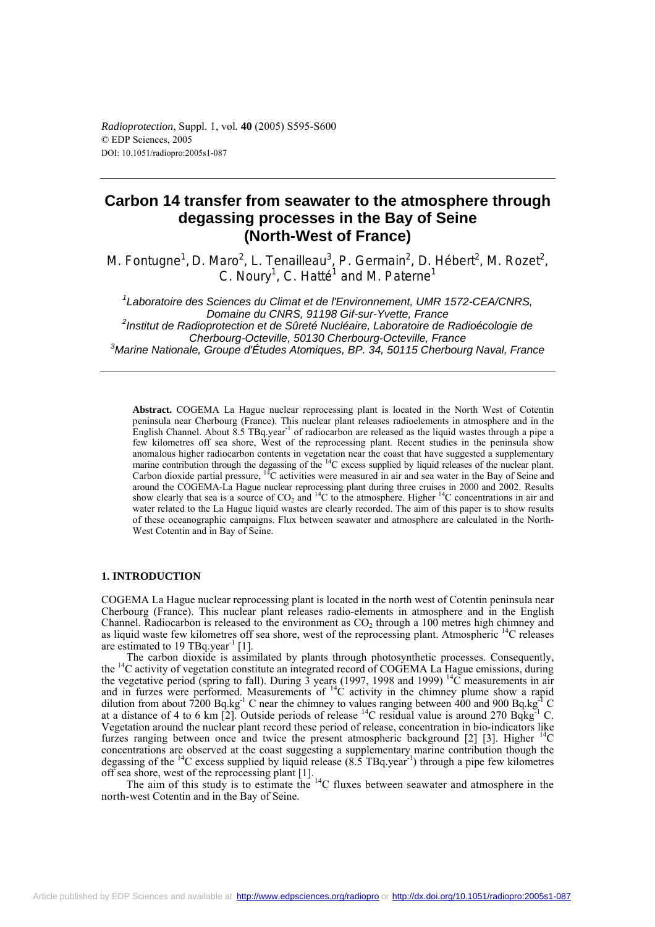# **Carbon 14 transfer from seawater to the atmosphere through degassing processes in the Bay of Seine (North-West of France)**

M. Fontugne<sup>1</sup>, D. Maro<sup>2</sup>, L. Tenailleau<sup>3</sup>, P. Germain<sup>2</sup>, D. Hébert<sup>2</sup>, M. Rozet<sup>2</sup>, C. Noury<sup>1</sup>, C. Hatté<sup>1</sup> and M. Paterne<sup>1</sup>

*1 Laboratoire des Sciences du Climat et de l'Environnement, UMR 1572-CEA/CNRS, Domaine du CNRS, 91198 Gif-sur-Yvette, France 2 Institut de Radioprotection et de Sûreté Nucléaire, Laboratoire de Radioécologie de Cherbourg-Octeville, 50130 Cherbourg-Octeville, France 3 Marine Nationale, Groupe d'Études Atomiques, BP. 34, 50115 Cherbourg Naval, France* 

**Abstract.** COGEMA La Hague nuclear reprocessing plant is located in the North West of Cotentin peninsula near Cherbourg (France). This nuclear plant releases radioelements in atmosphere and in the English Channel. About 8.5 TBq.year-1 of radiocarbon are released as the liquid wastes through a pipe a few kilometres off sea shore, West of the reprocessing plant. Recent studies in the peninsula show anomalous higher radiocarbon contents in vegetation near the coast that have suggested a supplementary marine contribution through the degassing of the <sup>14</sup>C excess supplied by liquid releases of the nuclear plant. Carbon dioxide partial pressure,  ${}^{14}C$  activities were measured in air and sea water in the Bay of Seine and around the COGEMA-La Hague nuclear reprocessing plant during three cruises in 2000 and 2002. Results show clearly that sea is a source of  $CO_2$  and <sup>14</sup>C to the atmosphere. Higher <sup>14</sup>C concentrations in air and water related to the La Hague liquid wastes are clearly recorded. The aim of this paper is to show results of these oceanographic campaigns. Flux between seawater and atmosphere are calculated in the North-West Cotentin and in Bay of Seine.

### **1. INTRODUCTION**

COGEMA La Hague nuclear reprocessing plant is located in the north west of Cotentin peninsula near Cherbourg (France). This nuclear plant releases radio-elements in atmosphere and in the English Channel. Radiocarbon is released to the environment as  $CO<sub>2</sub>$  through a 100 metres high chimney and as liquid waste few kilometres off sea shore, west of the reprocessing plant. Atmospheric 14C releases are estimated to 19 TBq.year<sup>-1</sup> [1].

The carbon dioxide is assimilated by plants through photosynthetic processes. Consequently, the 14C activity of vegetation constitute an integrated record of COGEMA La Hague emissions, during the vegetative period (spring to fall). During  $\overline{3}$  years (1997, 1998 and 1999) <sup>14</sup>C measurements in air and in furzes were performed. Measurements of  ${}^{14}C$  activity in the chimney plume show a rapid dilution from about  $7200$  Bq.kg<sup>-1</sup> C near the chimney to values ranging between 400 and 900 Bq.kg<sup>-1</sup> C at a distance of 4 to 6 km [2]. Outside periods of release  ${}^{14}C$  residual value is around 270 Bqkg<sup>-1</sup> C. Vegetation around the nuclear plant record these period of release, concentration in bio-indicators like furzes ranging between once and twice the present atmospheric background [2] [3]. Higher  $\rm{^{14}C}$ concentrations are observed at the coast suggesting a supplementary marine contribution though the degassing of the <sup>14</sup>C excess supplied by liquid release  $(8.5 \text{ TBq} \cdot \text{year}^{-1})$  through a pipe few kilometres off sea shore, west of the reprocessing plant [1].

The aim of this study is to estimate the  $^{14}$ C fluxes between seawater and atmosphere in the north-west Cotentin and in the Bay of Seine.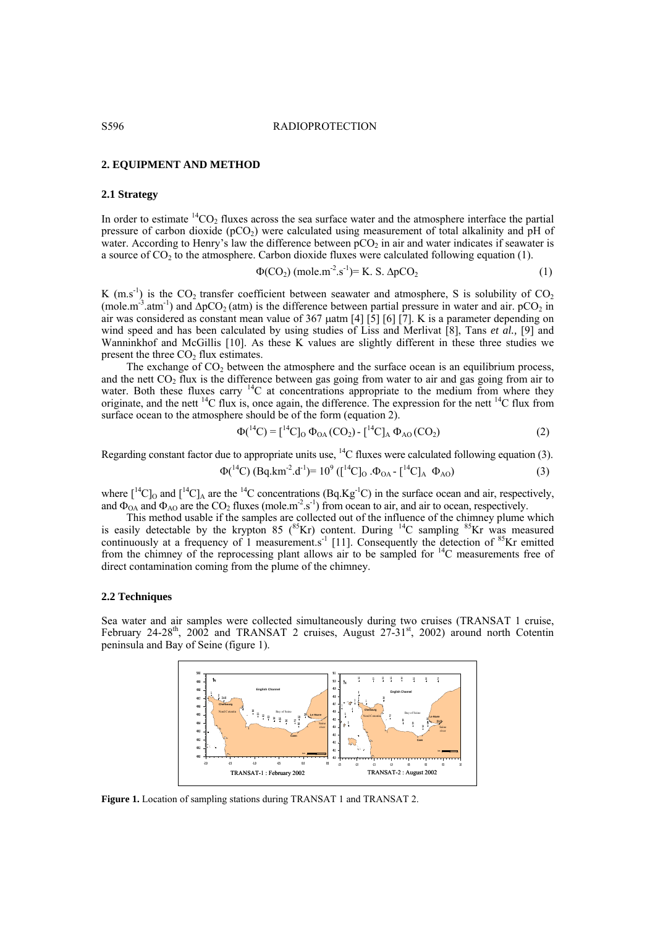### **2. EQUIPMENT AND METHOD**

### **2.1 Strategy**

In order to estimate  ${}^{14}CO_2$  fluxes across the sea surface water and the atmosphere interface the partial pressure of carbon dioxide  $(pCO<sub>2</sub>)$  were calculated using measurement of total alkalinity and pH of water. According to Henry's law the difference between  $pCO<sub>2</sub>$  in air and water indicates if seawater is a source of  $CO<sub>2</sub>$  to the atmosphere. Carbon dioxide fluxes were calculated following equation (1).

$$
\Phi(CO_2) \text{ (mole.m}^2 \text{.} \text{s}^{-1}) = \text{K. S. } \Delta p \text{CO}_2 \tag{1}
$$

K (m.s<sup>-1</sup>) is the  $CO_2$  transfer coefficient between seawater and atmosphere, S is solubility of  $CO_2$ (mole.m<sup>-3</sup>.atm<sup>-1</sup>) and  $\Delta pCO_2$  (atm) is the difference between partial pressure in water and air. pCO<sub>2</sub> in air was considered as constant mean value of 367 µatm [4] [5] [6] [7]. K is a parameter depending on wind speed and has been calculated by using studies of Liss and Merlivat [8], Tans *et al.,* [9] and Wanninkhof and McGillis [10]. As these K values are slightly different in these three studies we present the three  $CO<sub>2</sub>$  flux estimates.

The exchange of  $CO<sub>2</sub>$  between the atmosphere and the surface ocean is an equilibrium process, and the nett  $CO_2$  flux is the difference between gas going from water to air and gas going from air to water. Both these fluxes carry <sup>14</sup>C at concentrations appropriate to the medium from where they originate, and the nett  ${}^{14}C$  flux is, once again, the difference. The expression for the nett  ${}^{14}C$  flux from surface ocean to the atmosphere should be of the form (equation 2).

$$
\Phi({}^{14}C) = [{}^{14}C]_0 \Phi_{OA}(CO_2) - [{}^{14}C]_A \Phi_{AO}(CO_2)
$$
 (2)

Regarding constant factor due to appropriate units use,  $^{14}C$  fluxes were calculated following equation (3).

$$
\Phi({}^{14}C) \, (\text{Bq} \cdot \text{km}^{-2} \cdot \text{d}^{-1}) = 10^9 \, ([{}^{14}C]_0 \, .\Phi_{OA} - [{}^{14}C]_A \, \Phi_{AO}) \tag{3}
$$

where  $\lceil {^{14}C} \rceil_0$  and  $\lceil {^{14}C} \rceil_A$  are the  $\lceil {^{14}C} \rceil$  concentrations (Bq.Kg<sup>-1</sup>C) in the surface ocean and air, respectively, and  $\Phi_{\text{OA}}$  and  $\Phi_{\text{AO}}$  are the CO<sub>2</sub> fluxes (mole.m<sup>-2</sup>.s<sup>-1</sup>) from ocean to air, and air to ocean, respectively.

This method usable if the samples are collected out of the influence of the chimney plume which is easily detectable by the krypton 85 ( $^{85}$ Kr) content. During  $^{14}$ C sampling  $^{85}$ Kr was measured continuously at a frequency of 1 measurement.s<sup>-1</sup> [11]. Consequently the detection of  $85$ Kr emitted from the chimney of the reprocessing plant allows air to be sampled for 14C measurements free of direct contamination coming from the plume of the chimney.

### **2.2 Techniques**

Sea water and air samples were collected simultaneously during two cruises (TRANSAT 1 cruise, February 24-28<sup>th</sup>, 2002 and TRANSAT 2 cruises, August  $27-31$ <sup>st</sup>, 2002) around north Cotentin peninsula and Bay of Seine (figure 1).



**Figure 1.** Location of sampling stations during TRANSAT 1 and TRANSAT 2.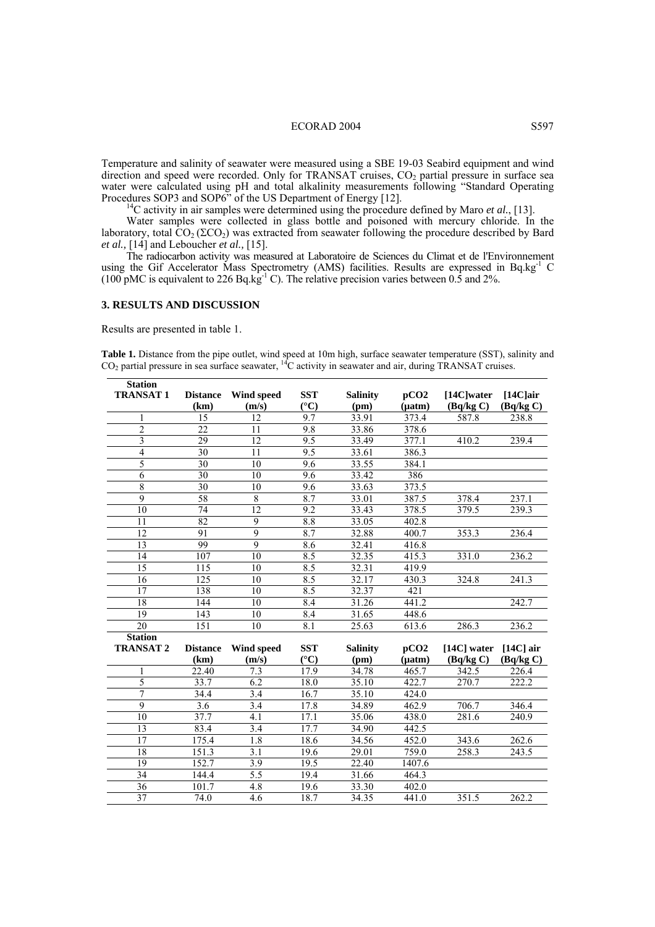### ECORAD 2004 S597

Temperature and salinity of seawater were measured using a SBE 19-03 Seabird equipment and wind direction and speed were recorded. Only for TRANSAT cruises,  $CO<sub>2</sub>$  partial pressure in surface sea water were calculated using pH and total alkalinity measurements following "Standard Operating Procedures SOP3 and SOP6" of the US Department of Energy [12].<br><sup>14</sup>C activity in air samples were determined using the procedure defined by Maro *et al.*, [13].

Water samples were collected in glass bottle and poisoned with mercury chloride. In the laboratory, total  $CO_2$  ( $\Sigma CO_2$ ) was extracted from seawater following the procedure described by Bard *et al.,* [14] and Leboucher *et al.,* [15].

The radiocarbon activity was measured at Laboratoire de Sciences du Climat et de l'Environnement using the Gif Accelerator Mass Spectrometry (AMS) facilities. Results are expressed in Bq.kg<sup>-1</sup> C (100 pMC is equivalent to 226 Bq.kg<sup>-1</sup> C). The relative precision varies between 0.5 and 2%.

#### **3. RESULTS AND DISCUSSION**

Results are presented in table 1.

 $\overline{\mathbf{S}^T \mathbf{S}^T}$ 

**Table 1.** Distance from the pipe outlet, wind speed at 10m high, surface seawater temperature (SST), salinity and CO2 partial pressure in sea surface seawater, 14C activity in seawater and air, during TRANSAT cruises.

| Station          |                  |                  |                       |                    |             |               |             |
|------------------|------------------|------------------|-----------------------|--------------------|-------------|---------------|-------------|
| <b>TRANSAT1</b>  | <b>Distance</b>  | Wind speed       | <b>SST</b>            | <b>Salinity</b>    | pCO2        | $[14C]$ water | $[14C]$ air |
|                  | (km)             | (m/s)            | $({}^{\circ}{\rm C})$ | (pm)               | $(\mu atm)$ | (Bq/kg C)     | (Bq/kg C)   |
|                  | 15               | 12               | 9.7                   | 33.91              | 373.4       | 587.8         | 238.8       |
| $\overline{c}$   | 22               | 11               | 9.8                   | 33.86              | 378.6       |               |             |
| 3                | 29               | 12               | 9.5                   | 33.49              | 377.1       | 410.2         | 239.4       |
| $\overline{4}$   | 30               | 11               | 9.5                   | 33.61              | 386.3       |               |             |
| $\overline{5}$   | 30               | 10               | 9.6                   | 33.55              | 384.1       |               |             |
| $\overline{6}$   | 30               | 10               | 9.6                   | 33.42              | 386         |               |             |
| 8                | 30               | 10               | 9.6                   | 33.63              | 373.5       |               |             |
| 9                | 58               | 8                | 8.7                   | 33.01              | 387.5       | 378.4         | 237.1       |
| 10               | 74               | $\overline{12}$  | 9.2                   | 33.43              | 378.5       | 379.5         | 239.3       |
| 11               | 82               | 9                | 8.8                   | 33.05              | 402.8       |               |             |
| 12               | 91               | $\overline{9}$   | 8.7                   | 32.88              | 400.7       | 353.3         | 236.4       |
| 13               | 99               | $\overline{9}$   | 8.6                   | 32.41              | 416.8       |               |             |
| 14               | 107              | 10               | 8.5                   | 32.35              | 415.3       | 331.0         | 236.2       |
| 15               | 115              | $\overline{10}$  | 8.5                   | 32.31              | 419.9       |               |             |
| 16               | 125              | 10               | 8.5                   | 32.17              | 430.3       | 324.8         | 241.3       |
| 17               | 138              | 10               | 8.5                   | 32.37              | 421         |               |             |
| 18               | 144              | 10               | 8.4                   | 31.26              | 441.2       |               | 242.7       |
| 19               | 143              | $\overline{10}$  | 8.4                   | 31.65              | 448.6       |               |             |
| 20               | $\overline{151}$ | 10               | 8.1                   | 25.63              | 613.6       | 286.3         | 236.2       |
| <b>Station</b>   |                  |                  |                       |                    |             |               |             |
| <b>TRANSAT 2</b> | <b>Distance</b>  | Wind speed       | <b>SST</b>            | <b>Salinity</b>    | pCO2        | [14C] water   | $[14C]$ air |
|                  | (km)             | (m/s)            | $({}^{\circ}C)$       | (pm)               | $(\mu atm)$ | (Bq/kg C)     | (Bq/kg C)   |
| 1                | 22.40            | 7.3              | 17.9                  | 34.78              | 465.7       | 342.5         | 226.4       |
| $\overline{5}$   | 33.7             | 6.2              | 18.0                  | 35.10              | 422.7       | 270.7         | 222.2       |
| 7                | 34.4             | 3.4              | 16.7                  | 35.10              | 424.0       |               |             |
| $\overline{9}$   | 3.6              | 3.4              | 17.8                  | 34.89              | 462.9       | 706.7         | 346.4       |
| 10               | 37.7             | 4.1              | 17.1                  | 35.06              | 438.0       | 281.6         | 240.9       |
| 13               | 83.4             | 3.4              | 17.7                  | 34.90              | 442.5       |               |             |
| 17               | 175.4            | $\overline{1.8}$ | 18.6                  | 34.56              | 452.0       | 343.6         | 262.6       |
| 18               | 151.3            | 3.1              | 19.6                  | 29.01              | 759.0       | 258.3         | 243.5       |
| 19               | 152.7            | $\overline{3.9}$ | 19.5                  | 22.40              | 1407.6      |               |             |
| 34               | 144.4            | 5.5              | 19.4                  | $\overline{31.66}$ | 464.3       |               |             |
| $\overline{36}$  | 101.7            | 4.8              | 19.6                  | 33.30              | 402.0       |               |             |
| $\overline{37}$  | 74.0             | 4.6              | 18.7                  | $\overline{34.35}$ | 441.0       | 351.5         | 262.2       |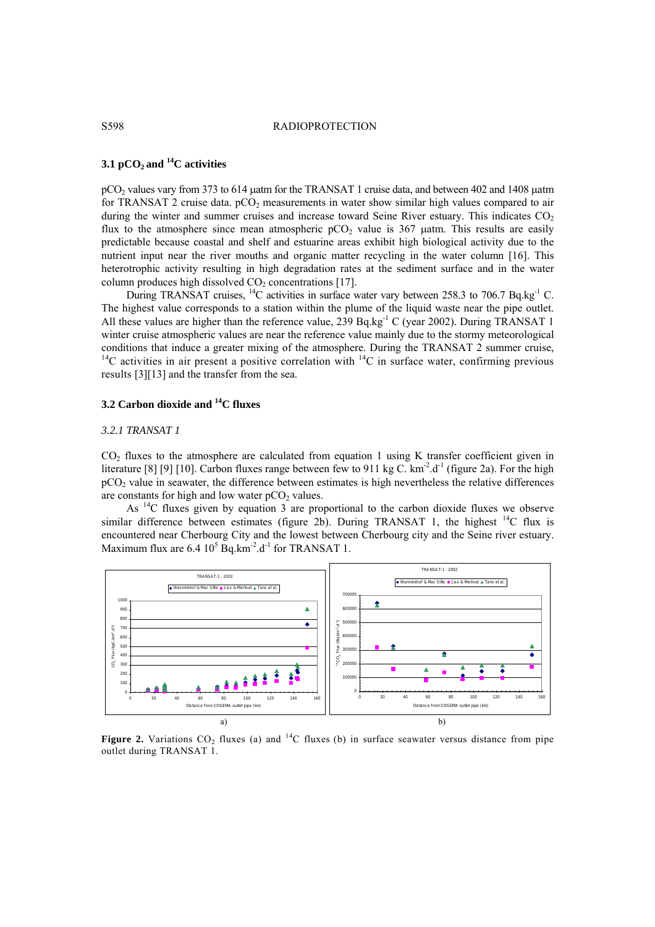### S598 RADIOPROTECTION

# **3.1 pCO2 and 14C activities**

pCO<sub>2</sub> values vary from 373 to 614 µatm for the TRANSAT 1 cruise data, and between 402 and 1408 µatm for TRANSAT 2 cruise data.  $pCO<sub>2</sub>$  measurements in water show similar high values compared to air during the winter and summer cruises and increase toward Seine River estuary. This indicates  $CO<sub>2</sub>$ flux to the atmosphere since mean atmospheric  $pCO<sub>2</sub>$  value is 367 µatm. This results are easily predictable because coastal and shelf and estuarine areas exhibit high biological activity due to the nutrient input near the river mouths and organic matter recycling in the water column [16]. This heterotrophic activity resulting in high degradation rates at the sediment surface and in the water column produces high dissolved  $CO<sub>2</sub>$  concentrations [17].

During TRANSAT cruises,  $^{14}$ C activities in surface water vary between 258.3 to 706.7 Bq.kg<sup>-1</sup> C. The highest value corresponds to a station within the plume of the liquid waste near the pipe outlet. All these values are higher than the reference value, 239 Bq.kg<sup>-1</sup> C (year 2002). During TRANSAT 1 winter cruise atmospheric values are near the reference value mainly due to the stormy meteorological conditions that induce a greater mixing of the atmosphere. During the TRANSAT 2 summer cruise, <sup>14</sup>C activities in air present a positive correlation with <sup>14</sup>C in surface water, confirming previous results [3][13] and the transfer from the sea.

# **3.2 Carbon dioxide and 14C fluxes**

### *3.2.1 TRANSAT 1*

 $CO<sub>2</sub>$  fluxes to the atmosphere are calculated from equation 1 using K transfer coefficient given in literature [8] [9] [10]. Carbon fluxes range between few to 911 kg C.  $km<sup>2</sup> \cdot d<sup>-1</sup>$  (figure 2a). For the high pCO2 value in seawater, the difference between estimates is high nevertheless the relative differences are constants for high and low water  $pCO<sub>2</sub>$  values.

As <sup>14</sup>C fluxes given by equation 3 are proportional to the carbon dioxide fluxes we observe similar difference between estimates (figure 2b). During TRANSAT 1, the highest  $^{14}C$  flux is encountered near Cherbourg City and the lowest between Cherbourg city and the Seine river estuary. Maximum flux are  $6.4 \times 10^5$  Bq.km<sup>-2</sup>.d<sup>-1</sup> for TRANSAT 1.



**Figure 2.** Variations  $CO_2$  fluxes (a) and <sup>14</sup>C fluxes (b) in surface seawater versus distance from pipe outlet during TRANSAT 1.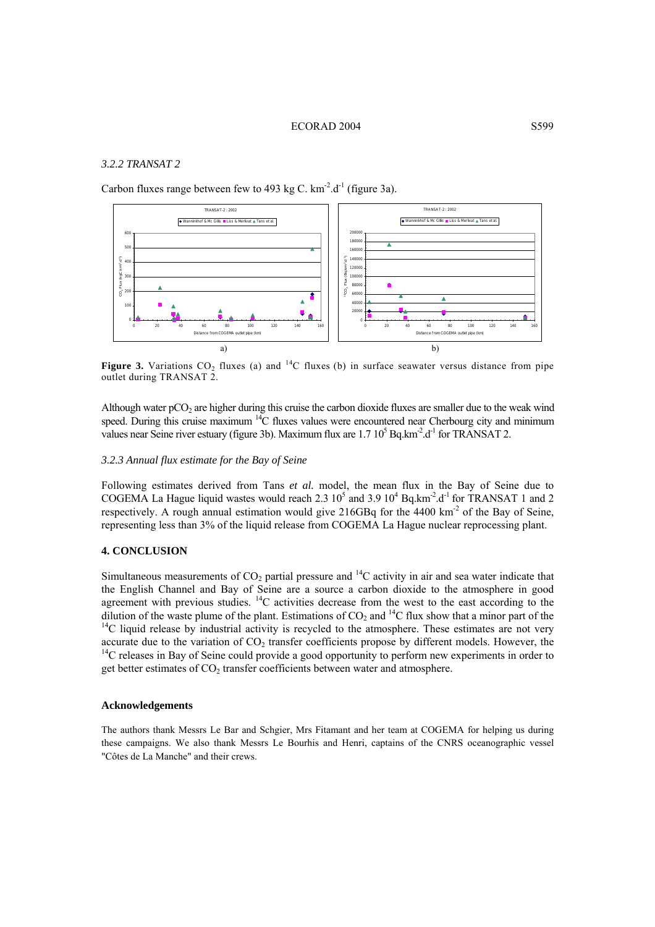### ECORAD 2004 S599

# *3.2.2 TRANSAT 2*

Carbon fluxes range between few to 493 kg C,  $km^{-2}$ , d<sup>-1</sup> (figure 3a).



**Figure 3.** Variations  $CO_2$  fluxes (a) and <sup>14</sup>C fluxes (b) in surface seawater versus distance from pipe outlet during TRANSAT 2.

Although water pCO<sub>2</sub> are higher during this cruise the carbon dioxide fluxes are smaller due to the weak wind speed. During this cruise maximum <sup>14</sup>C fluxes values were encountered near Cherbourg city and minimum values near Seine river estuary (figure 3b). Maximum flux are  $1.7 10^5$  Bq.km<sup>-2</sup>.d<sup>-1</sup> for TRANSAT 2.

### *3.2.3 Annual flux estimate for the Bay of Seine*

Following estimates derived from Tans *et al.* model, the mean flux in the Bay of Seine due to COGEMA La Hague liquid wastes would reach 2.3  $10^5$  and 3.9  $10^4$  Bq.km<sup>-2</sup>.d<sup>-1</sup> for TRANSAT 1 and 2 respectively. A rough annual estimation would give 216GBq for the 4400 km<sup>-2</sup> of the Bay of Seine, representing less than 3% of the liquid release from COGEMA La Hague nuclear reprocessing plant.

# **4. CONCLUSION**

Simultaneous measurements of  $CO<sub>2</sub>$  partial pressure and  $^{14}$ C activity in air and sea water indicate that the English Channel and Bay of Seine are a source a carbon dioxide to the atmosphere in good agreement with previous studies.  ${}^{14}C$  activities decrease from the west to the east according to the dilution of the waste plume of the plant. Estimations of  $CO_2$  and <sup>14</sup>C flux show that a minor part of the <sup>14</sup>C liquid release by industrial activity is recycled to the atmosphere. These estimates are not very accurate due to the variation of  $CO_2$  transfer coefficients propose by different models. However, the  $^{14}C$  releases in Bay of Seine could provide a good opportunity to perform new experiments in order to get better estimates of CO<sub>2</sub> transfer coefficients between water and atmosphere.

# **Acknowledgements**

The authors thank Messrs Le Bar and Schgier, Mrs Fitamant and her team at COGEMA for helping us during these campaigns. We also thank Messrs Le Bourhis and Henri, captains of the CNRS oceanographic vessel "Côtes de La Manche" and their crews.